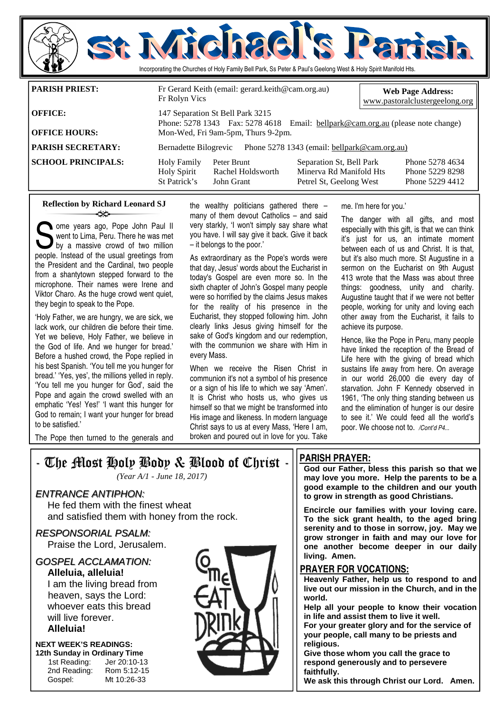

**PARISH SECRETARY:** Bernadette Bilogrevic Phone 5278 1343 (email: bellpark@cam.org.au)

**SCHOOL PRINCIPALS:** Holy Family Peter Brunt Separation St, Bell Park Phone 5278 4634<br>Holy Spirit Rachel Holdsworth Minerya Rd Manifold Hts Phone 5229 8298 Holy Spirit Rachel Holdsworth Minerva Rd Manifold Hts Phone 5229 8298 Petrel St, Geelong West

#### **Reflection by Richard Leonard SJ**  ન્≫

Some years ago, Pope John Paul II<br>went to Lima, Peru. There he was met<br>by a massive crowd of two million<br>neonle Instead of the usual greetings from went to Lima, Peru. There he was met by a massive crowd of two million people. Instead of the usual greetings from the President and the Cardinal, two people from a shantytown stepped forward to the microphone. Their names were Irene and Viktor Charo. As the huge crowd went quiet, they begin to speak to the Pope.

'Holy Father, we are hungry, we are sick, we lack work, our children die before their time. Yet we believe, Holy Father, we believe in the God of life. And we hunger for bread.' Before a hushed crowd, the Pope replied in his best Spanish. 'You tell me you hunger for bread.' 'Yes, yes', the millions yelled in reply. 'You tell me you hunger for God', said the Pope and again the crowd swelled with an emphatic 'Yes! Yes!' 'I want this hunger for God to remain; I want your hunger for bread to be satisfied.'

the wealthy politicians gathered there  $$ many of them devout Catholics – and said very starkly, 'I won't simply say share what you have. I will say give it back. Give it back – it belongs to the poor.'

As extraordinary as the Pope's words were that day, Jesus' words about the Eucharist in today's Gospel are even more so. In the sixth chapter of John's Gospel many people were so horrified by the claims Jesus makes for the reality of his presence in the Eucharist, they stopped following him. John clearly links Jesus giving himself for the sake of God's kingdom and our redemption, with the communion we share with Him in every Mass.

When we receive the Risen Christ in communion it's not a symbol of his presence or a sign of his life to which we say 'Amen'. It is Christ who hosts us, who gives us himself so that we might be transformed into His image and likeness. In modern language Christ says to us at every Mass, 'Here I am, broken and poured out in love for you. Take

me. I'm here for you.'

The danger with all gifts, and most especially with this gift, is that we can think it's just for us, an intimate moment between each of us and Christ. It is that, but it's also much more. St Augustine in a sermon on the Eucharist on 9th August 413 wrote that the Mass was about three things: goodness, unity and charity. Augustine taught that if we were not better people, working for unity and loving each other away from the Eucharist, it fails to achieve its purpose.

Hence, like the Pope in Peru, many people have linked the reception of the Bread of Life here with the giving of bread which sustains life away from here. On average in our world 26,000 die every day of starvation. John F Kennedy observed in 1961, 'The only thing standing between us and the elimination of hunger is our desire to see it.' We could feed all the world's poor. We choose not to. */Cont'd P4...* 

The Pope then turned to the generals and

- The Most Holy Body & Blood of Christ -

*(Year A/1 - June 18, 2017)* 

#### ENTRANCE ANTIPHON:

 He fed them with the finest wheat and satisfied them with honey from the rock.

RESPONSORIAL PSALM: Praise the Lord, Jerusalem.

GOSPEL ACCLAMATION: **Alleluia, alleluia!**  I am the living bread from heaven, says the Lord: whoever eats this bread will live forever

#### **Alleluia!**

**NEXT WEEK'S READINGS: 12th Sunday in Ordinary Time** 

1st Reading: Jer 20:10-13 2nd Reading: Rom 5:12-15<br>Gospel: Mt 10:26-33

Mt 10:26-33



#### **PARISH PRAYER:**

**God our Father, bless this parish so that we may love you more. Help the parents to be a good example to the children and our youth to grow in strength as good Christians.** 

**Encircle our families with your loving care. To the sick grant health, to the aged bring serenity and to those in sorrow, joy. May we grow stronger in faith and may our love for one another become deeper in our daily living. Amen.** 

#### **PRAYER FOR VOCATIONS:**

**Heavenly Father, help us to respond to and live out our mission in the Church, and in the world.** 

**Help all your people to know their vocation in life and assist them to live it well.** 

**For your greater glory and for the service of your people, call many to be priests and religious.** 

**Give those whom you call the grace to respond generously and to persevere faithfully.** 

**We ask this through Christ our Lord. Amen.**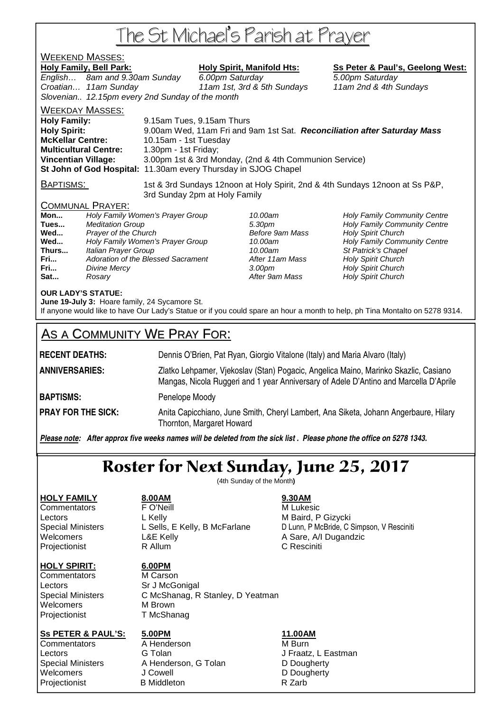# The St Michael's Parish at Prayer

## WEEKEND MASSES:

Holy Family, Bell Park: Holy Spirit, Manifold Hts: Ss Peter & Paul's, Geelong West:

English... 8am and 9.30am Sunday 6.00pm Saturday 6.00 5.00pm Saturday Croatian… 11am Sunday 11am 1st, 3rd & 5th Sundays 11am 2nd & 4th Sundays Slovenian.. 12.15pm every 2nd Sunday of the month

WEEKDAY MASSES:

**Holy Family:** 9.15am Tues, 9.15am Thurs **Holy Spirit:** 9.00am Wed, 11am Fri and 9am 1st Sat. **Reconciliation after Saturday Mass McKellar Centre:** 10.15am - 1st Tuesday **Multicultural Centre:** 1.30pm - 1st Friday; **Vincentian Village:** 3.00pm 1st & 3rd Monday, (2nd & 4th Communion Service) **St John of God Hospital:** 11.30am every Thursday in SJOG Chapel

BAPTISMS: 1st & 3rd Sundays 12noon at Holy Spirit, 2nd & 4th Sundays 12noon at Ss P&P, 3rd Sunday 2pm at Holy Family

#### COMMUNAL PRAYER:

| Mon   | Holy Family Women's Prayer Group   |
|-------|------------------------------------|
| Tues  | <b>Meditation Group</b>            |
| Wed   | Prayer of the Church               |
| Wed   | Holy Family Women's Prayer Group   |
| Thurs | Italian Prayer Group               |
| Fri   | Adoration of the Blessed Sacrament |
| Fri   | Divine Mercy                       |
| Sat   | Rosarv                             |

**After 11am Mass Holy Spirit Church** After 9am Mass **Holy Spirit Church** 

10.00am **Holy Family Community Centre Tues 3.30pm Holy Family Community Centre Before 9am Mass Holy Spirit Church Before 9am Mass Holy Spirit Church** 10.00am **Holy Family Community Centre** 10.00am St Patrick's Chapel **Franch 3.00pm** Holy Spirit Church

#### **OUR LADY'S STATUE:**

**June 19-July 3:** Hoare family, 24 Sycamore St.

If anyone would like to have Our Lady's Statue or if you could spare an hour a month to help, ph Tina Montalto on 5278 9314.

## AS A COMMUNITY WE PRAY FOR:

**RECENT DEATHS:** Dennis O'Brien, Pat Ryan, Giorgio Vitalone (Italy) and Maria Alvaro (Italy) **ANNIVERSARIES:** Zlatko Lehpamer, Vjekoslav (Stan) Pogacic, Angelica Maino, Marinko Skazlic, Casiano Mangas, Nicola Ruggeri and 1 year Anniversary of Adele D'Antino and Marcella D'Aprile **BAPTISMS:** Penelope Moody **PRAY FOR THE SICK:** Anita Capicchiano, June Smith, Cheryl Lambert, Ana Siketa, Johann Angerbaure, Hilary Thornton, Margaret Howard

*Please note: After approx five weeks names will be deleted from the sick list . Please phone the office on 5278 1343.*

## Roster for Next Sunday, June 25, 2017

(4th Sunday of the Month**)** 

#### **HOLY SPIRIT: 6.00PM**

**HOLY FAMILY 8.00AM 9.30AM** Commentators **FO'Neill FO'Neill** M Lukesic Lectors **L** Kelly **M** Baird, P Gizycki Welcomers **L&E Kelly** A Sare, A/I Dugandzic Projectionist **R** Allum **C Resciniti** 

Special Ministers L Sells, E Kelly, B McFarlane D Lunn, P McBride, C Simpson, V Resciniti

Commentators M Carson Lectors Sr J McGonigal Welcomers M Brown Projectionist T McShanag

Special Ministers C McShanag, R Stanley, D Yeatman

#### **Ss PETER & PAUL'S: 5.00PM 11.00AM**

Commentators **A** Henderson **M** Burn Lectors **G Tolan G Tolan** J Fraatz, L Eastman

Special Ministers A Henderson, G Tolan D Dougherty Welcomers J Cowell **D** Dougherty Projectionist B Middleton B Middleton R Zarb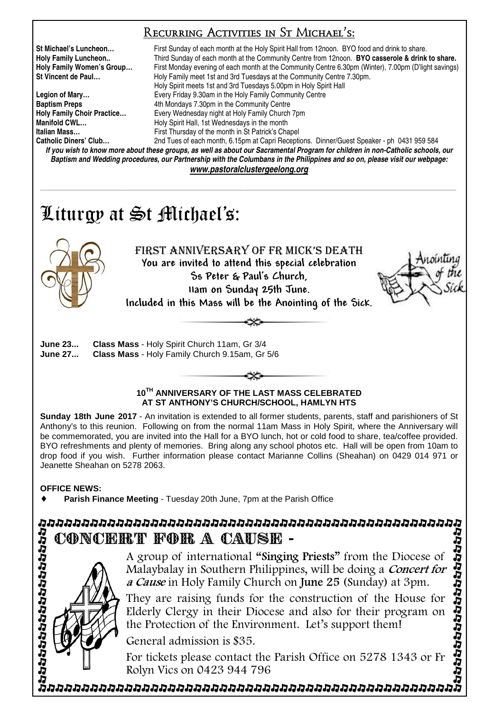## Recurring Activities in St Michael's:

**St Michael's Luncheon…** First Sunday of each month at the Holy Spirit Hall from 12noon. BYO food and drink to share. **Holy Family Luncheon..** Third Sunday of each month at the Community Centre from 12noon. **BYO casserole & drink to share. Holy Family Women's Group…** First Monday evening of each month at the Community Centre 6.30pm (Winter), 7.00pm (D'light savings) **St Vincent de Paul…** Holy Family meet 1st and 3rd Tuesdays at the Community Centre 7.30pm. Holy Spirit meets 1st and 3rd Tuesdays 5.00pm in Holy Spirit Hall **Legion of Mary…** Every Friday 9.30am in the Holy Family Community Centre **Baptism Preps 4th Mondays 7.30pm in the Community Centre Holy Family Choir Practice…** Every Wednesday night at Holy Family Church 7pm **Manifold CWL... Holy Spirit Hall, 1st Wednesdays in the month Italian Mass…** First Thursday of the month in St Patrick's Chapel 2nd Tues of each month, 6.15pm at Capri Receptions. Dinner/Guest Speaker - ph 0431 959 584

*If you wish to know more about these groups, as well as about our Sacramental Program for children in non-Catholic schools, our Baptism and Wedding procedures, our Partnership with the Columbans in the Philippines and so on, please visit our webpage: www.pastoralclustergeelong.org*

\_\_\_\_\_\_\_\_\_\_\_\_\_\_\_\_\_\_\_\_\_\_\_\_\_\_\_\_\_\_\_\_\_\_\_\_\_\_\_\_\_\_\_\_\_\_\_\_\_\_\_\_\_\_\_\_\_\_\_\_\_\_\_\_\_\_\_\_\_\_\_\_\_\_\_\_\_\_\_\_\_\_\_\_\_\_\_\_\_\_\_\_\_\_\_\_\_\_\_\_\_\_\_\_\_\_\_\_\_\_\_\_\_\_\_\_\_\_\_\_\_\_\_\_\_\_\_\_\_\_\_\_\_\_\_\_\_\_\_\_\_\_\_\_\_\_\_\_\_\_\_\_\_\_\_\_\_\_\_\_\_\_\_\_\_\_\_\_\_\_\_\_\_\_\_\_\_\_\_\_\_\_\_\_\_\_\_\_\_\_\_\_\_\_\_\_\_

# Liturgy at St Michael's:



FIRST ANNIVERSARY OF FR MICK'S DEATH You are invited to attend this special celebration Ss Peter & Paul's Church, 11am on Sunday 25th June. Included in this Mass will be the Anointing of the Sick.



### **10TH ANNIVERSARY OF THE LAST MASS CELEBRATED AT ST ANTHONY'S CHURCH/SCHOOL, HAMLYN HTS**

**Sunday 18th June 2017** - An invitation is extended to all former students, parents, staff and parishioners of St Anthony's to this reunion. Following on from the normal 11am Mass in Holy Spirit, where the Anniversary will be commemorated, you are invited into the Hall for a BYO lunch, hot or cold food to share, tea/coffee provided. BYO refreshments and plenty of memories. Bring along any school photos etc. Hall will be open from 10am to drop food if you wish. Further information please contact Marianne Collins (Sheahan) on 0429 014 971 or Jeanette Sheahan on 5278 2063.

**OFFICE NEWS:** 

**Parish Finance Meeting** - Tuesday 20th June, 7pm at the Parish Office

# CONCERT FOR A CAUSE -



A group of international "Singing Priests" from the Diocese of Malaybalay in Southern Philippines, will be doing a *Concert for* a Cause in Holy Family Church on June 25 (Sunday) at 3pm.

They are raising funds for the construction of the House for Elderly Clergy in their Diocese and also for their program on the Protection of the Environment. Let's support them!

General admission is \$35.

For tickets please contact the Parish Office on 5278 1343 or Fr Rolyn Vics on 0423 944 796